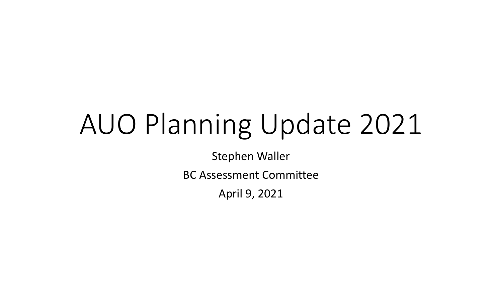# AUO Planning Update 2021

Stephen Waller

BC Assessment Committee

April 9, 2021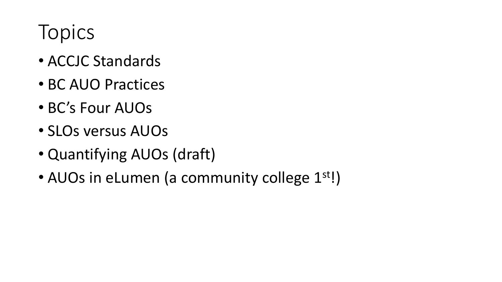## Topics

- ACCJC Standards
- BC AUO Practices
- BC's Four AUOs
- SLOs versus AUOs
- Quantifying AUOs (draft)
- AUOs in eLumen (a community college 1<sup>st!</sup>)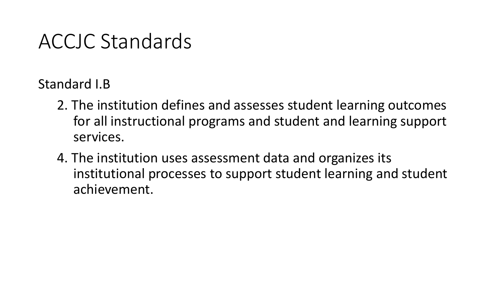### ACCJC Standards

Standard I.B

- 2. The institution defines and assesses student learning outcomes for all instructional programs and student and learning support services.
- 4. The institution uses assessment data and organizes its institutional processes to support student learning and student achievement.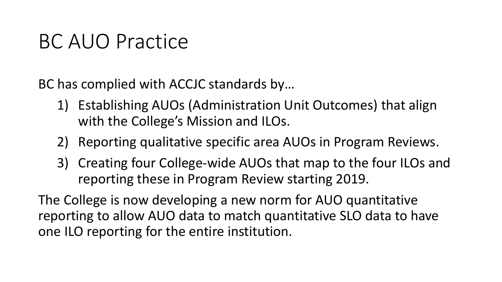### BC AUO Practice

BC has complied with ACCJC standards by…

- 1) Establishing AUOs (Administration Unit Outcomes) that align with the College's Mission and ILOs.
- 2) Reporting qualitative specific area AUOs in Program Reviews.
- 3) Creating four College-wide AUOs that map to the four ILOs and reporting these in Program Review starting 2019.

The College is now developing a new norm for AUO quantitative reporting to allow AUO data to match quantitative SLO data to have one ILO reporting for the entire institution.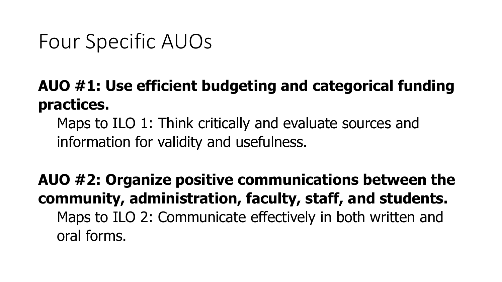### Four Specific AUOs

### **AUO #1: Use efficient budgeting and categorical funding practices.**

Maps to ILO 1: Think critically and evaluate sources and information for validity and usefulness.

**AUO #2: Organize positive communications between the community, administration, faculty, staff, and students.** Maps to ILO 2: Communicate effectively in both written and oral forms.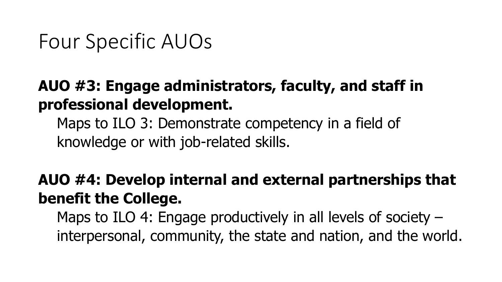### Four Specific AUOs

### **AUO #3: Engage administrators, faculty, and staff in professional development.**

Maps to ILO 3: Demonstrate competency in a field of knowledge or with job-related skills.

#### **AUO #4: Develop internal and external partnerships that benefit the College.**

Maps to ILO 4: Engage productively in all levels of society – interpersonal, community, the state and nation, and the world.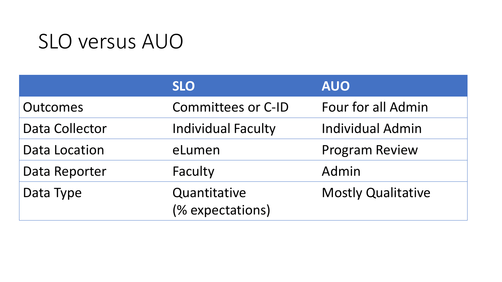### SLO versus AUO

|                       | <b>SLO</b>                       | <b>AUO</b>                |
|-----------------------|----------------------------------|---------------------------|
| Outcomes              | <b>Committees or C-ID</b>        | Four for all Admin        |
| <b>Data Collector</b> | <b>Individual Faculty</b>        | <b>Individual Admin</b>   |
| <b>Data Location</b>  | eLumen                           | <b>Program Review</b>     |
| Data Reporter         | Faculty                          | Admin                     |
| Data Type             | Quantitative<br>(% expectations) | <b>Mostly Qualitative</b> |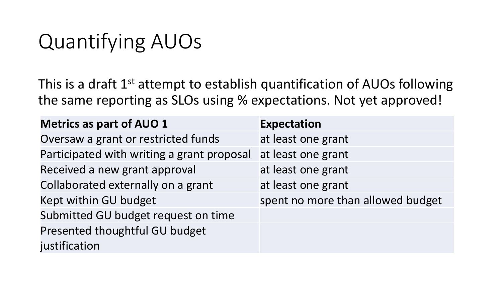### Quantifying AUOs

This is a draft 1<sup>st</sup> attempt to establish quantification of AUOs following the same reporting as SLOs using % expectations. Not yet approved!

| <b>Metrics as part of AUO 1</b>            | <b>Expectation</b>                |
|--------------------------------------------|-----------------------------------|
| Oversaw a grant or restricted funds        | at least one grant                |
| Participated with writing a grant proposal | at least one grant                |
| Received a new grant approval              | at least one grant                |
| Collaborated externally on a grant         | at least one grant                |
| Kept within GU budget                      | spent no more than allowed budget |
| Submitted GU budget request on time        |                                   |
| Presented thoughtful GU budget             |                                   |
| justification                              |                                   |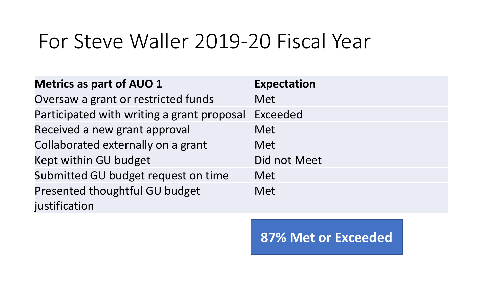### For Steve Waller 2019-20 Fiscal Year

| <b>Metrics as part of AUO 1</b>            | <b>Expectation</b> |
|--------------------------------------------|--------------------|
| Oversaw a grant or restricted funds        | Met                |
| Participated with writing a grant proposal | Exceeded           |
| Received a new grant approval              | <b>Met</b>         |
| Collaborated externally on a grant         | <b>Met</b>         |
| Kept within GU budget                      | Did not Meet       |
| Submitted GU budget request on time        | <b>Met</b>         |
| Presented thoughtful GU budget             | <b>Met</b>         |
| justification                              |                    |

**87% Met or Exceeded**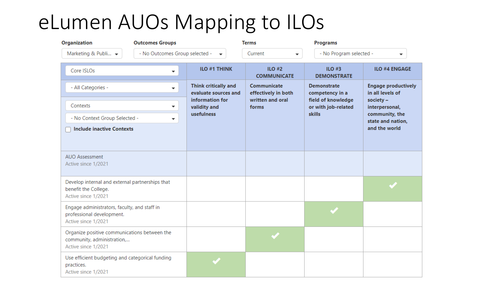### eLumen AUOs Mapping to ILOs

| <b>Organization</b>                                                                                            | <b>Outcomes Groups</b>   |                                                                 | <b>Terms</b>                       | <b>Programs</b>                                            |                                                                                       |  |
|----------------------------------------------------------------------------------------------------------------|--------------------------|-----------------------------------------------------------------|------------------------------------|------------------------------------------------------------|---------------------------------------------------------------------------------------|--|
| Marketing & Publi $\blacktriangleright$<br>- No Outcomes Group selected -                                      |                          | Current<br>$\overline{\phantom{a}}$<br>$\overline{\phantom{a}}$ |                                    | - No Program selected -                                    | ▼                                                                                     |  |
| Core ISLOs                                                                                                     |                          | <b>ILO #1 THINK</b>                                             | $ILO$ #2<br><b>COMMUNICATE</b>     | $ILO$ #3<br><b>DEMONSTRATE</b>                             | <b>ILO #4 ENGAGE</b>                                                                  |  |
| - All Categories -                                                                                             | $\overline{\phantom{a}}$ | <b>Think critically and</b><br>evaluate sources and             | Communicate<br>effectively in both | <b>Demonstrate</b><br>competency in a                      | <b>Engage productively</b><br>in all levels of                                        |  |
| Contexts<br>▼<br>- No Context Group Selected -<br>$\overline{\phantom{a}}$<br><b>Include inactive Contexts</b> |                          | information for<br>validity and                                 | written and oral<br>forms          | field of knowledge<br>or with job-related<br><b>skills</b> | society $-$<br>interpersonal,<br>community, the<br>state and nation,<br>and the world |  |
|                                                                                                                |                          | usefulness                                                      |                                    |                                                            |                                                                                       |  |
|                                                                                                                |                          |                                                                 |                                    |                                                            |                                                                                       |  |
| <b>AUO Assessment</b><br>Active since 1/2021                                                                   |                          |                                                                 |                                    |                                                            |                                                                                       |  |
| Develop internal and external partnerships that<br>benefit the College.<br>Active since 1/2021                 |                          |                                                                 |                                    |                                                            |                                                                                       |  |
| Engage administrators, faculty, and staff in<br>professional development.<br>Active since 1/2021               |                          |                                                                 |                                    |                                                            |                                                                                       |  |
| Organize positive communications between the<br>community, administration,<br>Active since 1/2021              |                          |                                                                 |                                    |                                                            |                                                                                       |  |
| Use efficient budgeting and categorical funding<br>practices.<br>Active since 1/2021                           |                          |                                                                 |                                    |                                                            |                                                                                       |  |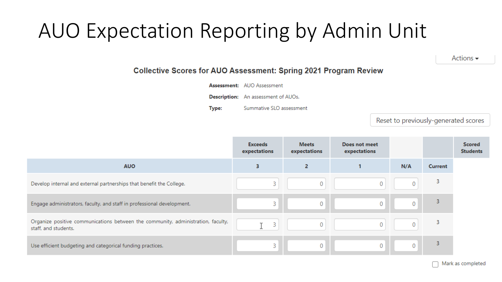### AUO Expectation Reporting by Admin Unit

Actions  $\blacktriangleright$ 

#### **Collective Scores for AUO Assessment: Spring 2021 Program Review**

**Assessment:** AUO Assessment

**Description:** An assessment of AUOs.

Type: Summative SLO assessment

Reset to previously-generated scores

|                                                                                                          | <b>Exceeds</b><br>expectations | <b>Meets</b><br>expectations | Does not meet<br>expectations |                |                | <b>Scored</b><br><b>Students</b> |
|----------------------------------------------------------------------------------------------------------|--------------------------------|------------------------------|-------------------------------|----------------|----------------|----------------------------------|
| <b>AUO</b>                                                                                               | 3                              | 2                            |                               | N/A            | <b>Current</b> |                                  |
| Develop internal and external partnerships that benefit the College.                                     | 3                              | 0                            | 0                             | $\overline{0}$ | 3              |                                  |
| Engage administrators, faculty, and staff in professional development.                                   | 3                              | 0                            | 0                             | 0              | 3              |                                  |
| Organize positive communications between the community, administration, faculty,<br>staff, and students. | 3                              | 0                            | 0                             | 0              | 3              |                                  |
| Use efficient budgeting and categorical funding practices.                                               | 3                              | 0                            | 0                             | $\mathbf{0}$   | 3              |                                  |

Mark as completed